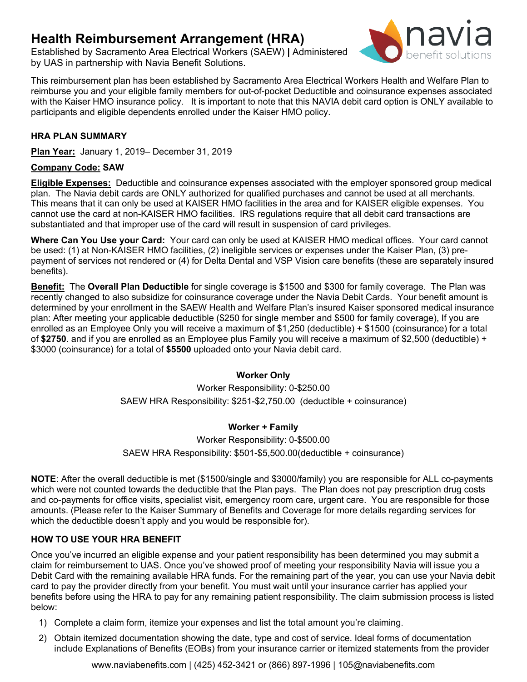# **Health Reimbursement Arrangement (HRA)**

Established by Sacramento Area Electrical Workers (SAEW) **|** Administered by UAS in partnership with Navia Benefit Solutions.



This reimbursement plan has been established by Sacramento Area Electrical Workers Health and Welfare Plan to reimburse you and your eligible family members for out-of-pocket Deductible and coinsurance expenses associated with the Kaiser HMO insurance policy. It is important to note that this NAVIA debit card option is ONLY available to participants and eligible dependents enrolled under the Kaiser HMO policy.

# **HRA PLAN SUMMARY**

**Plan Year:** January 1, 2019– December 31, 2019

# **Company Code: SAW**

**Eligible Expenses:** Deductible and coinsurance expenses associated with the employer sponsored group medical plan. The Navia debit cards are ONLY authorized for qualified purchases and cannot be used at all merchants. This means that it can only be used at KAISER HMO facilities in the area and for KAISER eligible expenses. You cannot use the card at non-KAISER HMO facilities. IRS regulations require that all debit card transactions are substantiated and that improper use of the card will result in suspension of card privileges.

**Where Can You Use your Card:** Your card can only be used at KAISER HMO medical offices. Your card cannot be used: (1) at Non-KAISER HMO facilities, (2) ineligible services or expenses under the Kaiser Plan, (3) prepayment of services not rendered or (4) for Delta Dental and VSP Vision care benefits (these are separately insured benefits).

**Benefit:** The **Overall Plan Deductible** for single coverage is \$1500 and \$300 for family coverage. The Plan was recently changed to also subsidize for coinsurance coverage under the Navia Debit Cards. Your benefit amount is determined by your enrollment in the SAEW Health and Welfare Plan's insured Kaiser sponsored medical insurance plan: After meeting your applicable deductible (\$250 for single member and \$500 for family coverage), If you are enrolled as an Employee Only you will receive a maximum of \$1,250 (deductible) + \$1500 (coinsurance) for a total of **\$2750**. and if you are enrolled as an Employee plus Family you will receive a maximum of \$2,500 (deductible) + \$3000 (coinsurance) for a total of **\$5500** uploaded onto your Navia debit card.

## **Worker Only**

Worker Responsibility: 0-\$250.00 SAEW HRA Responsibility: \$251-\$2,750.00 (deductible + coinsurance)

## **Worker + Family**

Worker Responsibility: 0-\$500.00 SAEW HRA Responsibility: \$501-\$5,500.00(deductible + coinsurance)

**NOTE**: After the overall deductible is met (\$1500/single and \$3000/family) you are responsible for ALL co-payments which were not counted towards the deductible that the Plan pays. The Plan does not pay prescription drug costs and co-payments for office visits, specialist visit, emergency room care, urgent care. You are responsible for those amounts. (Please refer to the Kaiser Summary of Benefits and Coverage for more details regarding services for which the deductible doesn't apply and you would be responsible for).

## **HOW TO USE YOUR HRA BENEFIT**

Once you've incurred an eligible expense and your patient responsibility has been determined you may submit a claim for reimbursement to UAS. Once you've showed proof of meeting your responsibility Navia will issue you a Debit Card with the remaining available HRA funds. For the remaining part of the year, you can use your Navia debit card to pay the provider directly from your benefit. You must wait until your insurance carrier has applied your benefits before using the HRA to pay for any remaining patient responsibility. The claim submission process is listed below:

- 1) Complete a claim form, itemize your expenses and list the total amount you're claiming.
- 2) Obtain itemized documentation showing the date, type and cost of service. Ideal forms of documentation include Explanations of Benefits (EOBs) from your insurance carrier or itemized statements from the provider

[www.naviabenefits.com](http://www.naviabenefits.com/) | (425) 452-3421 or (866) 897-1996 | 105@naviabenefits.com